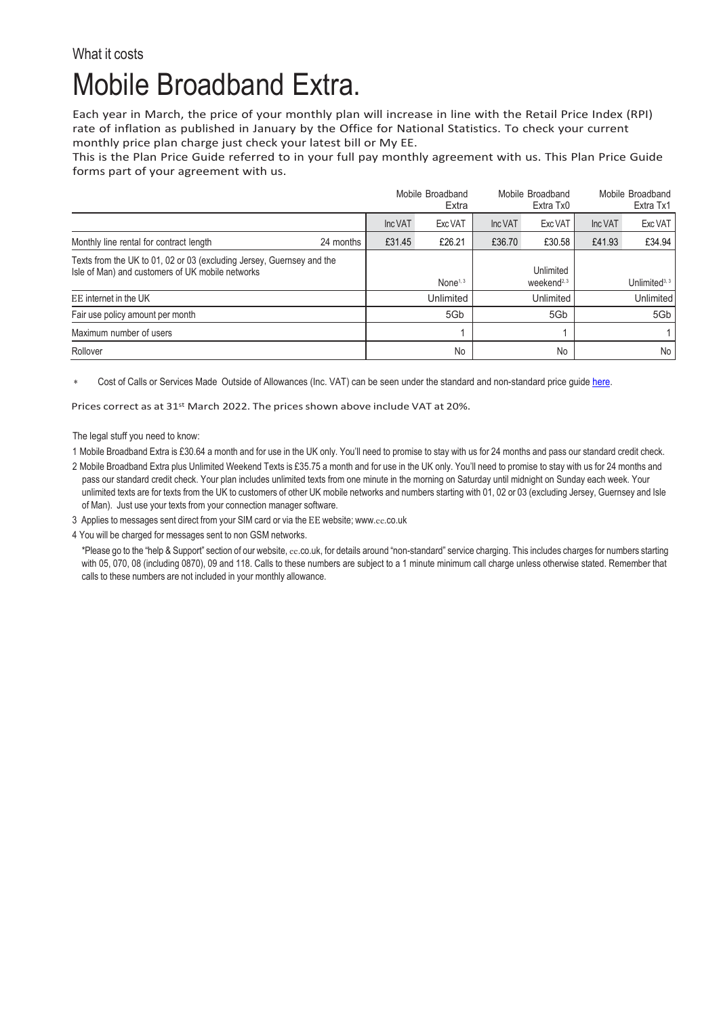## What it costs Mobile Broadband Extra.

Each year in March, the price of your monthly plan will increase in line with the Retail Price Index (RPI) rate of inflation as published in January by the Office for National Statistics. To check your current monthly price plan charge just check your latest bill or My EE.

This is the Plan Price Guide referred to in your full pay monthly agreement with us. This Plan Price Guide forms part of your agreement with us.

|                                                                                                                           |           | Mobile Broadband<br>Extra |                      | Mobile Broadband<br>Extra Tx0 |                                     | Mobile Broadband<br>Extra Tx1 |                           |
|---------------------------------------------------------------------------------------------------------------------------|-----------|---------------------------|----------------------|-------------------------------|-------------------------------------|-------------------------------|---------------------------|
|                                                                                                                           |           | Inc VAT                   | Exc VAT              | Inc VAT                       | Exc VAT                             | Inc VAT                       | Exc VAT                   |
| Monthly line rental for contract length                                                                                   | 24 months | £31.45                    | £26.21               | £36.70                        | £30.58                              | £41.93                        | £34.94                    |
| Texts from the UK to 01, 02 or 03 (excluding Jersey, Guernsey and the<br>Isle of Man) and customers of UK mobile networks |           |                           | None <sup>1, 3</sup> |                               | Unlimited<br>weekend <sup>2,3</sup> |                               | Unlimited <sup>3, 3</sup> |
| EE internet in the UK                                                                                                     |           |                           | Unlimited            |                               | Unlimited                           |                               | <b>Unlimited</b>          |
| Fair use policy amount per month                                                                                          |           |                           | 5Gb                  |                               | 5Gb                                 |                               | 5Gb                       |
| Maximum number of users                                                                                                   |           |                           |                      |                               |                                     |                               |                           |
| Rollover                                                                                                                  |           |                           | No                   |                               | No                                  |                               | No.                       |

Cost of Calls or Services Made Outside of Allowances (Inc. VAT) can be seen under the standard and non-standard price quid[e here.](https://ee.co.uk/help/help-new/price-plans/legacy-brand/pay-monthly-price-plans)

Prices correct as at 31st March 2022. The prices shown above include VAT at 20%.

The legal stuff you need to know:

1 Mobile Broadband Extra is £30.64 a month and for use in the UK only. You'll need to promise to stay with us for 24 months and pass our standard credit check.

2 Mobile Broadband Extra plus Unlimited Weekend Texts is £35.75 a month and for use in the UK only. You'll need to promise to stay with us for 24 months and pass our standard credit check. Your plan includes unlimited texts from one minute in the morning on Saturday until midnight on Sunday each week. Your unlimited texts are for texts from the UK to customers of other UK mobile networks and numbers starting with 01, 02 or 03 (excluding Jersey, Guernsey and Isle of Man). Just use your texts from your connection manager software.

3 Applies to messages sent direct from your SIM card or via the EE website; www.ee[.co.uk](http://www.ee.co.uk/)

4 You will be charged for messages sent to non GSM networks.

\*Please go to the "help & Support" section of our website, ee.co.uk, for details around "non-standard" service charging. This includes charges for numbers starting with 05, 070, 08 (including 0870), 09 and 118. Calls to these numbers are subject to a 1 minute minimum call charge unless otherwise stated. Remember that calls to these numbers are not included in your monthly allowance.